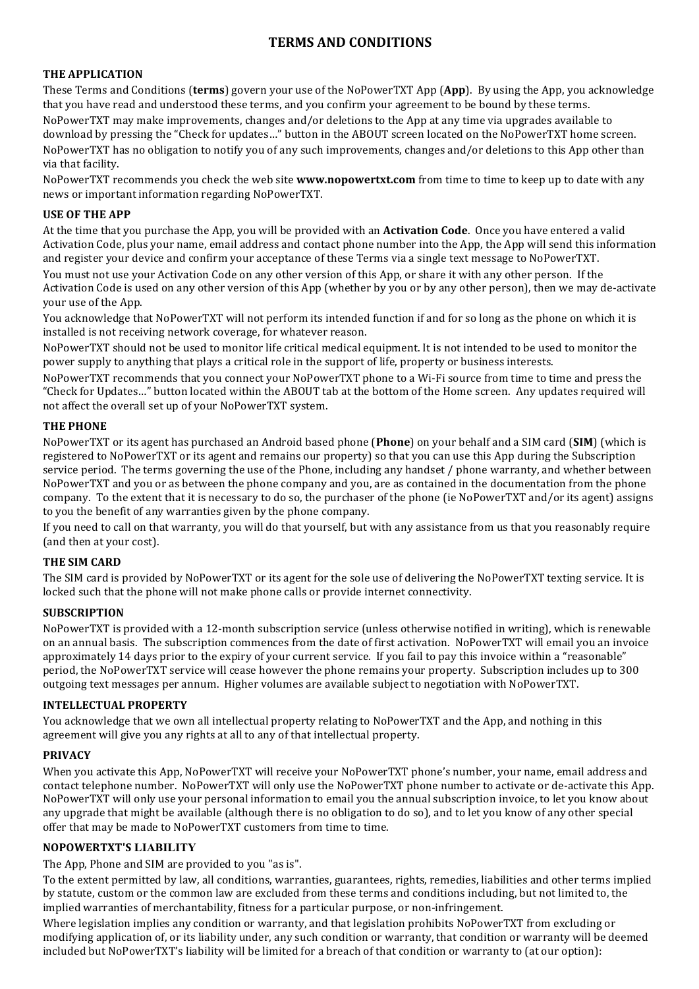# **TERMS AND CONDITIONS**

## **THE APPLICATION**

These Terms and Conditions (**terms**) govern your use of the NoPowerTXT App (App). By using the App, you acknowledge that you have read and understood these terms, and you confirm your agreement to be bound by these terms. NoPowerTXT may make improvements, changes and/or deletions to the App at any time via upgrades available to download by pressing the "Check for updates..." button in the ABOUT screen located on the NoPowerTXT home screen. NoPowerTXT has no obligation to notify you of any such improvements, changes and/or deletions to this App other than via that facility.

NoPowerTXT recommends you check the web site **www.nopowertxt.com** from time to time to keep up to date with any news or important information regarding NoPowerTXT.

## **USE OF THE APP**

At the time that you purchase the App, you will be provided with an **Activation Code**. Once you have entered a valid Activation Code, plus your name, email address and contact phone number into the App, the App will send this information and register your device and confirm your acceptance of these Terms via a single text message to NoPowerTXT.

You must not use your Activation Code on any other version of this App, or share it with any other person. If the Activation Code is used on any other version of this App (whether by you or by any other person), then we may de-activate your use of the App.

You acknowledge that NoPowerTXT will not perform its intended function if and for so long as the phone on which it is installed is not receiving network coverage, for whatever reason.

NoPowerTXT should not be used to monitor life critical medical equipment. It is not intended to be used to monitor the power supply to anything that plays a critical role in the support of life, property or business interests.

NoPowerTXT recommends that you connect your NoPowerTXT phone to a Wi-Fi source from time to time and press the "Check for Updates..." button located within the ABOUT tab at the bottom of the Home screen. Any updates required will not affect the overall set up of your NoPowerTXT system.

## **THE PHONE**

NoPowerTXT or its agent has purchased an Android based phone (Phone) on your behalf and a SIM card (SIM) (which is registered to NoPowerTXT or its agent and remains our property) so that you can use this App during the Subscription service period. The terms governing the use of the Phone, including any handset / phone warranty, and whether between NoPowerTXT and you or as between the phone company and you, are as contained in the documentation from the phone company. To the extent that it is necessary to do so, the purchaser of the phone (ie NoPowerTXT and/or its agent) assigns to you the benefit of any warranties given by the phone company.

If you need to call on that warranty, you will do that yourself, but with any assistance from us that you reasonably require (and then at your cost).

# **THE SIM CARD**

The SIM card is provided by NoPowerTXT or its agent for the sole use of delivering the NoPowerTXT texting service. It is locked such that the phone will not make phone calls or provide internet connectivity.

#### **SUBSCRIPTION**

NoPowerTXT is provided with a 12-month subscription service (unless otherwise notified in writing), which is renewable on an annual basis. The subscription commences from the date of first activation. NoPowerTXT will email you an invoice approximately 14 days prior to the expiry of your current service. If you fail to pay this invoice within a "reasonable" period, the NoPowerTXT service will cease however the phone remains your property. Subscription includes up to 300 outgoing text messages per annum. Higher volumes are available subject to negotiation with NoPowerTXT.

#### **INTELLECTUAL PROPERTY**

You acknowledge that we own all intellectual property relating to NoPowerTXT and the App, and nothing in this agreement will give you any rights at all to any of that intellectual property.

#### **PRIVACY**

When you activate this App, NoPowerTXT will receive your NoPowerTXT phone's number, your name, email address and contact telephone number. NoPowerTXT will only use the NoPowerTXT phone number to activate or de-activate this App. NoPowerTXT will only use your personal information to email you the annual subscription invoice, to let you know about any upgrade that might be available (although there is no obligation to do so), and to let you know of any other special offer that may be made to NoPowerTXT customers from time to time.

# **NOPOWERTXT'S LIABILITY**

The App, Phone and SIM are provided to you "as is".

To the extent permitted by law, all conditions, warranties, guarantees, rights, remedies, liabilities and other terms implied by statute, custom or the common law are excluded from these terms and conditions including, but not limited to, the implied warranties of merchantability, fitness for a particular purpose, or non-infringement.

Where legislation implies any condition or warranty, and that legislation prohibits NoPowerTXT from excluding or modifying application of, or its liability under, any such condition or warranty, that condition or warranty will be deemed included but NoPowerTXT's liability will be limited for a breach of that condition or warranty to (at our option):